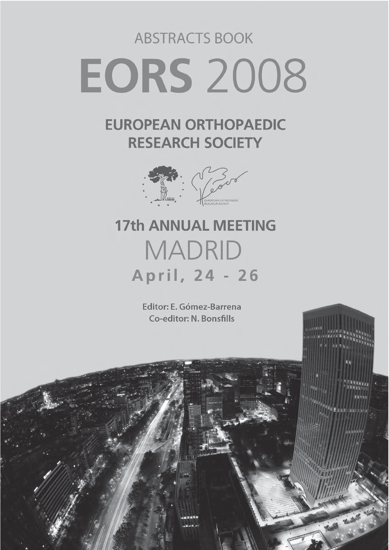# **ABSTRACTS BOOK EORS 2008**

### **EUROPEAN ORTHOPAEDIC RESEARCH SOCIETY**



## **17th ANNUAL MEETING MADRID** April, 24 - 26

Editor: E. Gómez-Barrena Co-editor: N. Bonsfills